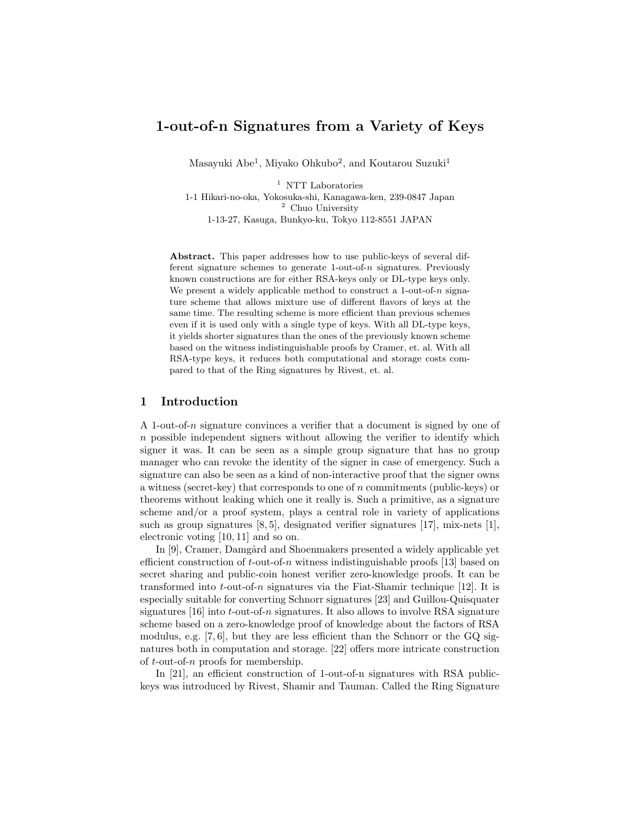# 1-out-of-n Signatures from a Variety of Keys

Masayuki Abe<sup>1</sup>, Miyako Ohkubo<sup>2</sup>, and Koutarou Suzuki<sup>1</sup>

 $^{\rm 1}$  NTT Laboratories 1-1 Hikari-no-oka, Yokosuka-shi, Kanagawa-ken, 239-0847 Japan  $^{\rm 2}$  Chuo University 1-13-27, Kasuga, Bunkyo-ku, Tokyo 112-8551 JAPAN

Abstract. This paper addresses how to use public-keys of several different signature schemes to generate 1-out-of- $n$  signatures. Previously known constructions are for either RSA-keys only or DL-type keys only. We present a widely applicable method to construct a 1-out-of- $n$  signature scheme that allows mixture use of different flavors of keys at the same time. The resulting scheme is more efficient than previous schemes even if it is used only with a single type of keys. With all DL-type keys, it yields shorter signatures than the ones of the previously known scheme based on the witness indistinguishable proofs by Cramer, et. al. With all RSA-type keys, it reduces both computational and storage costs compared to that of the Ring signatures by Rivest, et. al.

### 1 Introduction

A 1-out-of-n signature convinces a verifier that a document is signed by one of  $n$  possible independent signers without allowing the verifier to identify which signer it was. It can be seen as a simple group signature that has no group manager who can revoke the identity of the signer in case of emergency. Such a signature can also be seen as a kind of non-interactive proof that the signer owns a witness (secret-key) that corresponds to one of  $n$  commitments (public-keys) or theorems without leaking which one it really is. Such a primitive, as a signature scheme and/or a proof system, plays a central role in variety of applications such as group signatures  $[8, 5]$ , designated verifier signatures  $[17]$ , mix-nets  $[1]$ , electronic voting [10, 11] and so on.

In [9], Cramer, Damgård and Shoenmakers presented a widely applicable yet efficient construction of  $t$ -out-of-n witness indistinguishable proofs [13] based on secret sharing and public-coin honest verifier zero-knowledge proofs. It can be transformed into  $t$ -out-of-n signatures via the Fiat-Shamir technique [12]. It is especially suitable for converting Schnorr signatures [23] and Guillou-Quisquater signatures  $[16]$  into t-out-of-n signatures. It also allows to involve RSA signature scheme based on a zero-knowledge proof of knowledge about the factors of RSA modulus, e.g.  $[7, 6]$ , but they are less efficient than the Schnorr or the GQ signatures both in computation and storage. [22] offers more intricate construction of t-out-of-n proofs for membership.

In [21], an efficient construction of 1-out-of-n signatures with RSA publickeys was introduced by Rivest, Shamir and Tauman. Called the Ring Signature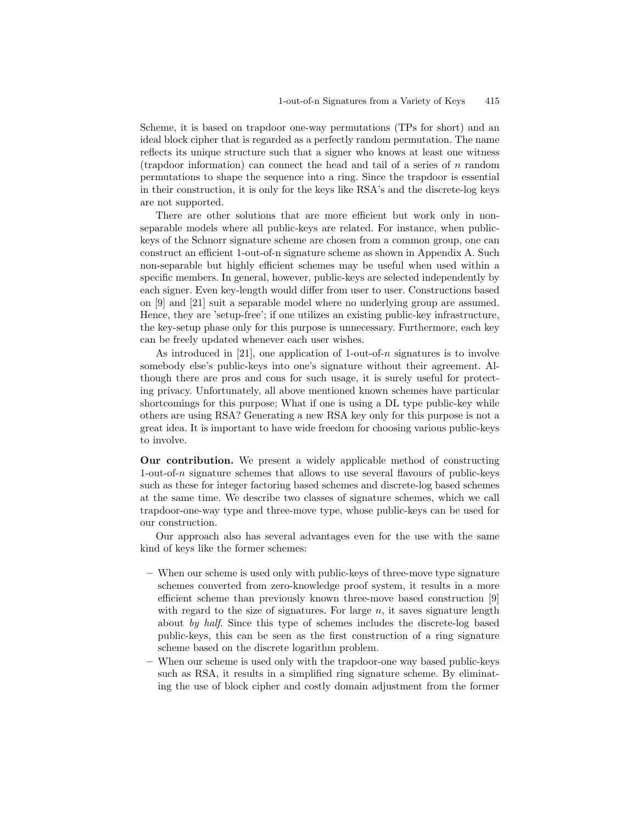Scheme, it is based on trapdoor one-way permutations (TPs for short) and an ideal block cipher that is regarded as a perfectly random permutation. The name reflects its unique structure such that a signer who knows at least one witness (trapdoor information) can connect the head and tail of a series of  $n$  random permutations to shape the sequence into a ring. Since the trapdoor is essential in their construction, it is only for the keys like RSA's and the discrete-log keys are not supported.

There are other solutions that are more efficient but work only in nonseparable models where all public-keys are related. For instance, when publickeys of the Schnorr signature scheme are chosen from a common group, one can construct an efficient 1-out-of-n signature scheme as shown in Appendix A. Such non-separable but highly efficient schemes may be useful when used within a specific members. In general, however, public-keys are selected independently by each signer. Even key-length would differ from user to user. Constructions based on [9] and [21] suit a separable model where no underlying group are assumed. Hence, they are 'setup-free'; if one utilizes an existing public-key infrastructure, the key-setup phase only for this purpose is unnecessary. Furthermore, each key can be freely updated whenever each user wishes.

As introduced in  $[21]$ , one application of 1-out-of-n signatures is to involve somebody else's public-keys into one's signature without their agreement. Although there are pros and cons for such usage, it is surely useful for protecting privacy. Unfortunately, all above mentioned known schemes have particular shortcomings for this purpose; What if one is using a DL type public-key while others are using RSA? Generating a new RSA key only for this purpose is not a great idea. It is important to have wide freedom for choosing various public-keys to involve.

Our contribution. We present a widely applicable method of constructing 1-out-of- $n$  signature schemes that allows to use several flavours of public-keys such as these for integer factoring based schemes and discrete-log based schemes at the same time. We describe two classes of signature schemes, which we call trapdoor-one-way type and three-move type, whose public-keys can be used for our construction.

Our approach also has several advantages even for the use with the same kind of keys like the former schemes:

- When our scheme is used only with public-keys of three-move type signature schemes converted from zero-knowledge proof system, it results in a more efficient scheme than previously known three-move based construction [9] with regard to the size of signatures. For large  $n$ , it saves signature length about by half. Since this type of schemes includes the discrete-log based public-keys, this can be seen as the first construction of a ring signature scheme based on the discrete logarithm problem.
- When our scheme is used only with the trapdoor-one way based public-keys such as RSA, it results in a simplified ring signature scheme. By eliminating the use of block cipher and costly domain adjustment from the former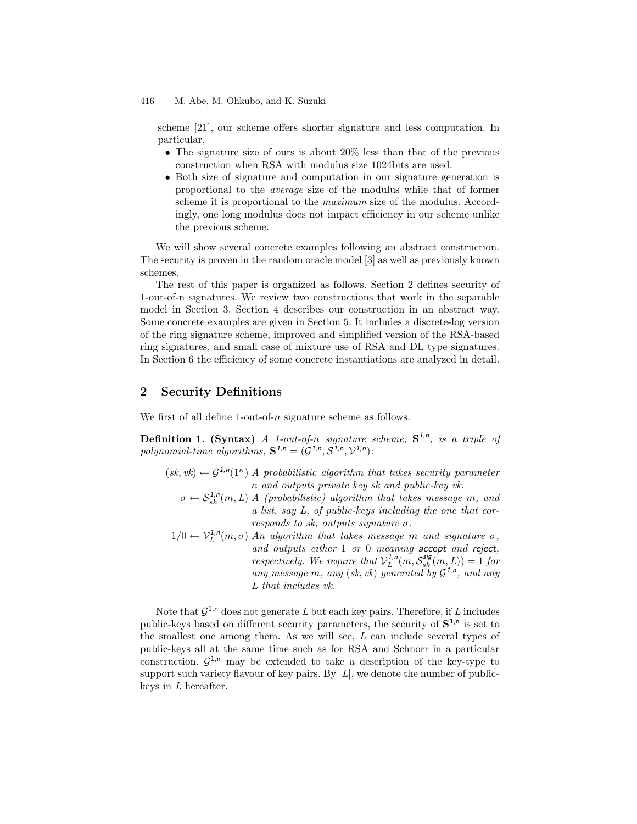scheme [21], our scheme offers shorter signature and less computation. In particular,

- The signature size of ours is about 20% less than that of the previous construction when RSA with modulus size 1024bits are used.
- Both size of signature and computation in our signature generation is proportional to the average size of the modulus while that of former scheme it is proportional to the maximum size of the modulus. Accordingly, one long modulus does not impact efficiency in our scheme unlike the previous scheme.

We will show several concrete examples following an abstract construction. The security is proven in the random oracle model [3] as well as previously known schemes.

The rest of this paper is organized as follows. Section 2 defines security of 1-out-of-n signatures. We review two constructions that work in the separable model in Section 3. Section 4 describes our construction in an abstract way. Some concrete examples are given in Section 5. It includes a discrete-log version of the ring signature scheme, improved and simplified version of the RSA-based ring signatures, and small case of mixture use of RSA and DL type signatures. In Section 6 the efficiency of some concrete instantiations are analyzed in detail.

### 2 Security Definitions

We first of all define 1-out-of-n signature scheme as follows.

**Definition 1. (Syntax)** A 1-out-of-n signature scheme,  $S^{1,n}$ , is a triple of polynomial-time algorithms,  $S^{1,n} = (G^{1,n}, S^{1,n}, V^{1,n})$ :

- $(s_k, vk) \leftarrow \mathcal{G}^{1,n}(1^{\kappa})$  A probabilistic algorithm that takes security parameter  $\kappa$  and outputs private key sk and public-key vk.
	- $\sigma \leftarrow \mathcal{S}_{sk}^{1,n}(m,L)$  A (probabilistic) algorithm that takes message m, and a list, say L, of public-keys including the one that corresponds to sk, outputs signature  $\sigma$ .
- $1/0 \leftarrow \mathcal{V}_L^{1,n}(m,\sigma)$  An algorithm that takes message m and signature  $\sigma$ , and outputs either 1 or 0 meaning accept and reject, respectively. We require that  $\mathcal{V}_L^{1,n}(m, \mathcal{S}_{sk}^{\mathsf{sig}}(m,L)) = 1$  for any message m, any (sk, vk) generated by  $\mathcal{G}^{1,n}$ , and any L that includes vk.

Note that  $\mathcal{G}^{1,n}$  does not generate L but each key pairs. Therefore, if L includes public-keys based on different security parameters, the security of  $S^{1,n}$  is set to the smallest one among them. As we will see, L can include several types of public-keys all at the same time such as for RSA and Schnorr in a particular construction.  $\mathcal{G}^{1,n}$  may be extended to take a description of the key-type to support such variety flavour of key pairs. By  $|L|$ , we denote the number of publickeys in L hereafter.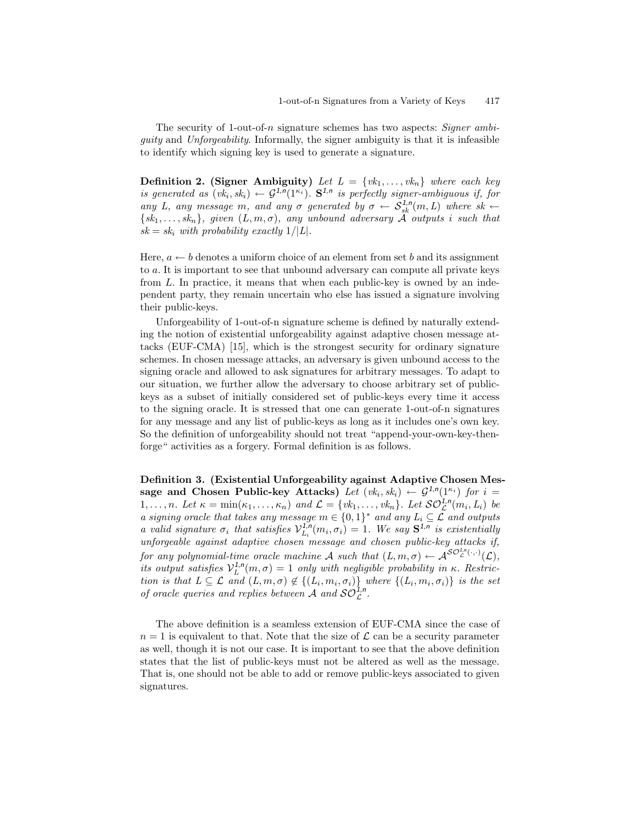The security of 1-out-of-n signature schemes has two aspects: *Signer ambi*guity and Unforgeability. Informally, the signer ambiguity is that it is infeasible to identify which signing key is used to generate a signature.

Definition 2. (Signer Ambiguity) Let  $L = \{vk_1, \ldots, vk_n\}$  where each key is generated as  $(vk_i, sk_i) \leftarrow \mathcal{G}^{1,n}(1^{\kappa_i})$ .  $S^{1,n}$  is perfectly signer-ambiguous if, for any L, any message m, and any  $\sigma$  generated by  $\sigma \leftarrow S_{sk}^{1,n}(m,L)$  where sk  $\leftarrow$  $\{sk_1, \ldots, sk_n\}$ , given  $(L, m, \sigma)$ , any unbound adversary  $\tilde{A}$  outputs i such that  $sk = sk_i$  with probability exactly  $1/|L|$ .

Here,  $a \leftarrow b$  denotes a uniform choice of an element from set b and its assignment to a. It is important to see that unbound adversary can compute all private keys from L. In practice, it means that when each public-key is owned by an independent party, they remain uncertain who else has issued a signature involving their public-keys.

Unforgeability of 1-out-of-n signature scheme is defined by naturally extending the notion of existential unforgeability against adaptive chosen message attacks (EUF-CMA) [15], which is the strongest security for ordinary signature schemes. In chosen message attacks, an adversary is given unbound access to the signing oracle and allowed to ask signatures for arbitrary messages. To adapt to our situation, we further allow the adversary to choose arbitrary set of publickeys as a subset of initially considered set of public-keys every time it access to the signing oracle. It is stressed that one can generate 1-out-of-n signatures for any message and any list of public-keys as long as it includes one's own key. So the definition of unforgeability should not treat "append-your-own-key-thenforge" activities as a forgery. Formal definition is as follows.

Definition 3. (Existential Unforgeability against Adaptive Chosen Message and Chosen Public-key Attacks)  $Let (vk<sub>i</sub>, sk<sub>i</sub>) \leftarrow \mathcal{G}^{1,n}(1^{\kappa_i})$  for  $i =$ 1,..., *n.* Let  $\kappa = \min(\kappa_1, \ldots, \kappa_n)$  and  $\mathcal{L} = \{vk_1, \ldots, vk_n\}$ . Let  $\mathcal{SO}_{\mathcal{L}}^{1,n}(m_i, L_i)$  be a signing oracle that takes any message  $m \in \{0,1\}^*$  and any  $L_i \subseteq \mathcal{L}$  and outputs a valid signature  $\sigma_i$  that satisfies  $\mathcal{V}_{L_i}^{1,n}(m_i,\sigma_i) = 1$ . We say  $\mathbf{S}^{1,n}$  is existentially unforgeable against adaptive chosen message and chosen public-key attacks if, for any polynomial-time oracle machine A such that  $(L, m, \sigma) \leftarrow A^{\mathcal{SO}_{\mathcal{L}}^{1,n}(\cdot, \cdot)}(\mathcal{L}),$ its output satisfies  $V_L^{1,n}(m,\sigma) = 1$  only with negligible probability in κ. Restriction is that  $L \subseteq \mathcal{L}$  and  $(L, m, \sigma) \notin \{(L_i, m_i, \sigma_i)\}\$  where  $\{(L_i, m_i, \sigma_i)\}\$  is the set of oracle queries and replies between  $\mathcal A$  and  $\mathcal{SO}_{\mathcal L}^{1,n}$ .

The above definition is a seamless extension of EUF-CMA since the case of  $n = 1$  is equivalent to that. Note that the size of  $\mathcal L$  can be a security parameter as well, though it is not our case. It is important to see that the above definition states that the list of public-keys must not be altered as well as the message. That is, one should not be able to add or remove public-keys associated to given signatures.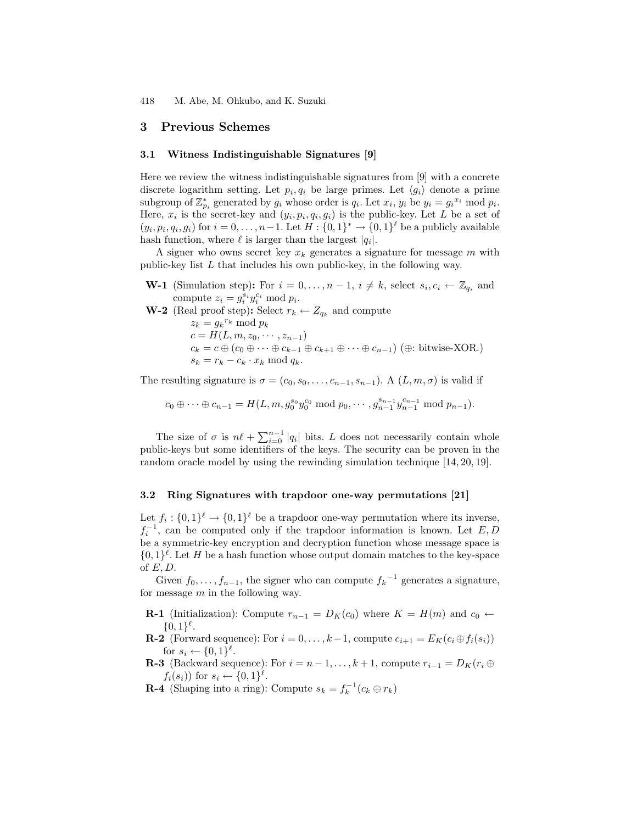### 3 Previous Schemes

#### 3.1 Witness Indistinguishable Signatures [9]

Here we review the witness indistinguishable signatures from [9] with a concrete discrete logarithm setting. Let  $p_i, q_i$  be large primes. Let  $\langle q_i \rangle$  denote a prime subgroup of  $\mathbb{Z}_{p_i}^*$  generated by  $g_i$  whose order is  $q_i$ . Let  $x_i$ ,  $y_i$  be  $y_i = g_i^{x_i} \mod p_i$ . Here,  $x_i$  is the secret-key and  $(y_i, p_i, q_i, g_i)$  is the public-key. Let L be a set of  $(y_i, p_i, q_i, g_i)$  for  $i = 0, \ldots, n-1$ . Let  $H: \{0,1\}^* \to \{0,1\}^{\ell}$  be a publicly available hash function, where  $\ell$  is larger than the largest  $|q_i|$ .

A signer who owns secret key  $x_k$  generates a signature for message m with public-key list L that includes his own public-key, in the following way.

- **W-1** (Simulation step): For  $i = 0, \ldots, n-1$ ,  $i \neq k$ , select  $s_i, c_i \leftarrow \mathbb{Z}_{q_i}$  and compute  $z_i = g_i^{s_i} y_i^{c_i} \mod p_i$ .
- **W-2** (Real proof step): Select  $r_k \leftarrow Z_{q_k}$  and compute

 $z_k = g_k^{r_k} \bmod p_k$  $c = H(L, m, z_0, \cdots, z_{n-1})$  $c_k = c \oplus (c_0 \oplus \cdots \oplus c_{k-1} \oplus c_{k+1} \oplus \cdots \oplus c_{n-1})$  ( $\oplus$ : bitwise-XOR.)  $s_k = r_k - c_k \cdot x_k \mod q_k.$ 

The resulting signature is  $\sigma = (c_0, s_0, \ldots, c_{n-1}, s_{n-1})$ . A  $(L, m, \sigma)$  is valid if

$$
c_0 \oplus \cdots \oplus c_{n-1} = H(L, m, g_0^{s_0} y_0^{c_0} \bmod p_0, \cdots, g_{n-1}^{s_{n-1}} y_{n-1}^{c_{n-1}} \bmod p_{n-1}).
$$

The size of  $\sigma$  is  $n\ell + \sum_{i=0}^{n-1} |q_i|$  bits. L does not necessarily contain whole public-keys but some identifiers of the keys. The security can be proven in the random oracle model by using the rewinding simulation technique [14, 20, 19].

#### 3.2 Ring Signatures with trapdoor one-way permutations [21]

Let  $f_i: \{0,1\}^{\ell} \to \{0,1\}^{\ell}$  be a trapdoor one-way permutation where its inverse,  $f_i^{-1}$ , can be computed only if the trapdoor information is known. Let  $E, D$ be a symmetric-key encryption and decryption function whose message space is  $\{0,1\}^{\ell}$ . Let H be a hash function whose output domain matches to the key-space of  $E, D$ .

Given  $f_0, \ldots, f_{n-1}$ , the signer who can compute  $f_k^{-1}$  generates a signature, for message  $m$  in the following way.

- **R-1** (Initialization): Compute  $r_{n-1} = D_K(c_0)$  where  $K = H(m)$  and  $c_0 \leftarrow$  $\{0,1\}^{\ell}.$
- **R-2** (Forward sequence): For  $i = 0, \ldots, k-1$ , compute  $c_{i+1} = E_K(c_i \oplus f_i(s_i))$ for  $s_i \leftarrow \{0,1\}^{\ell}$ .
- **R-3** (Backward sequence): For  $i = n-1, \ldots, k+1$ , compute  $r_{i-1} = D_K(r_i \oplus$  $f_i(s_i)$  for  $s_i \leftarrow \{0,1\}^{\ell}$ .
- **R-4** (Shaping into a ring): Compute  $s_k = f_k^{-1}(c_k \oplus r_k)$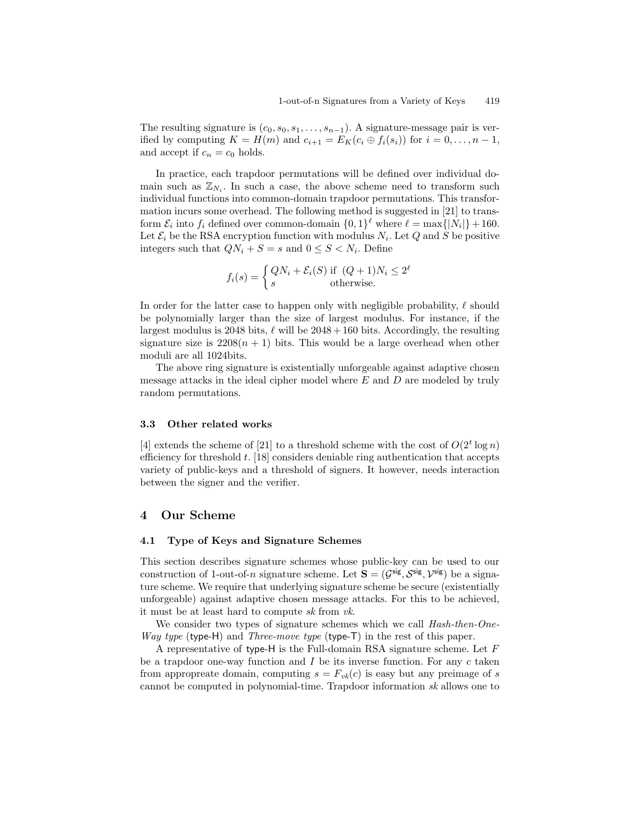The resulting signature is  $(c_0, s_0, s_1, \ldots, s_{n-1})$ . A signature-message pair is verified by computing  $K = H(m)$  and  $c_{i+1} = E_K(c_i \oplus f_i(s_i))$  for  $i = 0, \ldots, n-1$ , and accept if  $c_n = c_0$  holds.

In practice, each trapdoor permutations will be defined over individual domain such as  $\mathbb{Z}_{N_i}$ . In such a case, the above scheme need to transform such individual functions into common-domain trapdoor permutations. This transformation incurs some overhead. The following method is suggested in [21] to transform  $\mathcal{E}_i$  into  $f_i$  defined over common-domain  $\{0,1\}^{\ell}$  where  $\ell = \max\{|N_i|\} + 160$ . Let  $\mathcal{E}_i$  be the RSA encryption function with modulus  $N_i$ . Let  $Q$  and  $S$  be positive integers such that  $QN_i + S = s$  and  $0 \leq S < N_i$ . Define

$$
f_i(s) = \begin{cases} QN_i + \mathcal{E}_i(S) & \text{if } (Q+1)N_i \le 2^{\ell} \\ s & \text{otherwise.} \end{cases}
$$

In order for the latter case to happen only with negligible probability,  $\ell$  should be polynomially larger than the size of largest modulus. For instance, if the largest modulus is 2048 bits,  $\ell$  will be 2048 + 160 bits. Accordingly, the resulting signature size is  $2208(n + 1)$  bits. This would be a large overhead when other moduli are all 1024bits.

The above ring signature is existentially unforgeable against adaptive chosen message attacks in the ideal cipher model where  $E$  and  $D$  are modeled by truly random permutations.

#### 3.3 Other related works

[4] extends the scheme of [21] to a threshold scheme with the cost of  $O(2<sup>t</sup> \log n)$ efficiency for threshold  $t$ . [18] considers deniable ring authentication that accepts variety of public-keys and a threshold of signers. It however, needs interaction between the signer and the verifier.

# 4 Our Scheme

#### 4.1 Type of Keys and Signature Schemes

This section describes signature schemes whose public-key can be used to our construction of 1-out-of-n signature scheme. Let  $S = (\mathcal{G}^{\text{sig}}, \mathcal{S}^{\text{sig}}, \mathcal{V}^{\text{sig}})$  be a signature scheme. We require that underlying signature scheme be secure (existentially unforgeable) against adaptive chosen message attacks. For this to be achieved, it must be at least hard to compute  $sk$  from  $vk$ .

We consider two types of signature schemes which we call Hash-then-One-*Way type* (type-H) and *Three-move type* (type-T) in the rest of this paper.

A representative of type-H is the Full-domain RSA signature scheme. Let  $F$ be a trapdoor one-way function and  $I$  be its inverse function. For any c taken from appropreate domain, computing  $s = F_{vk}(c)$  is easy but any preimage of s cannot be computed in polynomial-time. Trapdoor information sk allows one to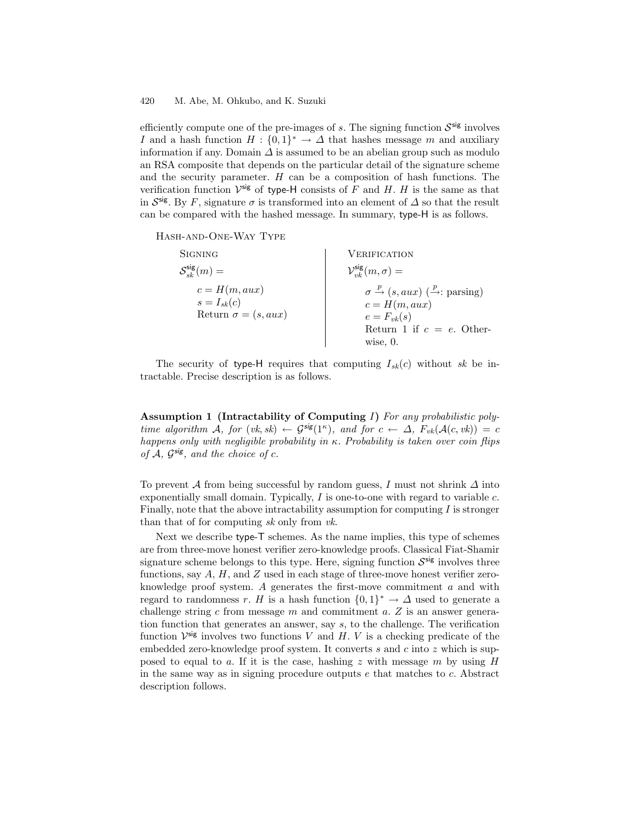efficiently compute one of the pre-images of s. The signing function  $S^{\text{sig}}$  involves I and a hash function  $H: \{0,1\}^* \to \Delta$  that hashes message m and auxiliary information if any. Domain  $\Delta$  is assumed to be an abelian group such as modulo an RSA composite that depends on the particular detail of the signature scheme and the security parameter.  $H$  can be a composition of hash functions. The verification function  $V^{\text{sig}}$  of type-H consists of F and H. H is the same as that in  $S^{\text{sig}}$ . By F, signature  $\sigma$  is transformed into an element of  $\Delta$  so that the result can be compared with the hashed message. In summary, type-H is as follows.

Hash-and-One-Way Type

| <b>SIGNING</b>                                                   | <b>VERIFICATION</b>                                                                                                                                                |
|------------------------------------------------------------------|--------------------------------------------------------------------------------------------------------------------------------------------------------------------|
| $S_{sk}^{\text{sig}}(m) =$                                       | $\mathcal{V}_{nk}^{\text{sig}}(m, \sigma) =$                                                                                                                       |
| $c = H(m, aux)$<br>$s = I_{sk}(c)$<br>Return $\sigma = (s, aux)$ | $\sigma \stackrel{p}{\rightarrow} (s, aux) \stackrel{p}{\leftarrow}$ parsing)<br>$c = H(m, aux)$<br>$e = F_{vk}(s)$<br>Return 1 if $c = e$ . Other-<br>wise, $0$ . |

The security of type-H requires that computing  $I_{sk}(c)$  without sk be intractable. Precise description is as follows.

Assumption 1 (Intractability of Computing I) For any probabilistic polytime algorithm A, for  $(vk, sk) \leftarrow \mathcal{G}^{sig}(1^{\kappa})$ , and for  $c \leftarrow \Delta$ ,  $F_{vk}(\mathcal{A}(c, vk)) = c$ happens only with negligible probability in  $\kappa$ . Probability is taken over coin flips of  $A$ ,  $\mathcal{G}^{\text{sig}}$ , and the choice of c.

To prevent A from being successful by random guess, I must not shrink  $\Delta$  into exponentially small domain. Typically,  $I$  is one-to-one with regard to variable  $c$ . Finally, note that the above intractability assumption for computing  $I$  is stronger than that of for computing  $sk$  only from  $vk$ .

Next we describe type-T schemes. As the name implies, this type of schemes are from three-move honest verifier zero-knowledge proofs. Classical Fiat-Shamir signature scheme belongs to this type. Here, signing function  $S^{\text{sig}}$  involves three functions, say  $A, H$ , and  $Z$  used in each stage of three-move honest verifier zeroknowledge proof system. A generates the first-move commitment  $a$  and with regard to randomness r. H is a hash function  $\{0,1\}^* \to \Delta$  used to generate a challenge string c from message m and commitment  $a$ .  $Z$  is an answer generation function that generates an answer, say s, to the challenge. The verification function  $\mathcal{V}^{\text{sig}}$  involves two functions V and H. V is a checking predicate of the embedded zero-knowledge proof system. It converts s and c into z which is supposed to equal to a. If it is the case, hashing z with message m by using  $H$ in the same way as in signing procedure outputs e that matches to c. Abstract description follows.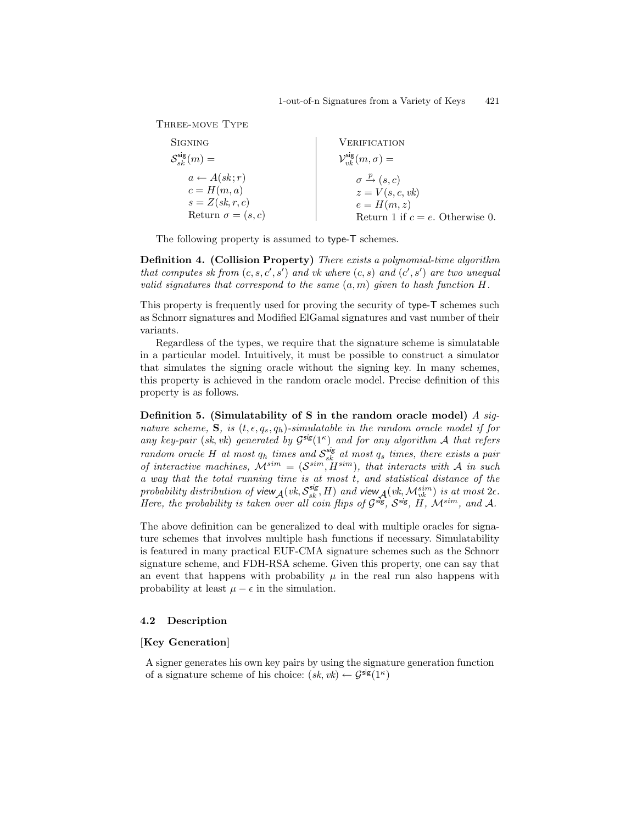Three-move Type

| <b>SIGNING</b>                   | VERIFICATION                             |
|----------------------------------|------------------------------------------|
| $S_{\rm s k}^{\rm sig}(m) =$     | ${\cal V}_{nk}^{\rm sig}(m,\sigma) =$    |
| $a \leftarrow A(\mathit{sk}; r)$ | $\sigma \stackrel{p}{\rightarrow} (s,c)$ |
| $c=H(m,a)$                       | $z = V(s, c, vk)$                        |
| $s = Z(\textit{sk}, r, c)$       | $e = H(m, z)$                            |
| Return $\sigma = (s, c)$         | Return 1 if $c = e$ . Otherwise 0.       |

The following property is assumed to type-T schemes.

Definition 4. (Collision Property) There exists a polynomial-time algorithm that computes sk from  $(c, s, c', s')$  and vk where  $(c, s)$  and  $(c', s')$  are two unequal valid signatures that correspond to the same  $(a, m)$  given to hash function H.

This property is frequently used for proving the security of type-T schemes such as Schnorr signatures and Modified ElGamal signatures and vast number of their variants.

Regardless of the types, we require that the signature scheme is simulatable in a particular model. Intuitively, it must be possible to construct a simulator that simulates the signing oracle without the signing key. In many schemes, this property is achieved in the random oracle model. Precise definition of this property is as follows.

Definition 5. (Simulatability of S in the random oracle model)  $A sig$ nature scheme, S, is  $(t, \epsilon, q_s, q_h)$ -simulatable in the random oracle model if for any key-pair (sk, vk) generated by  $\mathcal{G}^{\text{sig}}(1^{\kappa})$  and for any algorithm A that refers random oracle H at most  $q_h$  times and  $S_{sk}^{\text{sig}}$  at most  $q_s$  times, there exists a pair of interactive machines,  $\mathcal{M}^{sim} = (\mathcal{S}^{sim}, H^{sim})$ , that interacts with A in such a way that the total running time is at most t, and statistical distance of the probability distribution of view  $\mathcal{A}(vk, \mathcal{S}_{sk}^{sig}, H)$  and view  $\mathcal{A}(vk, \mathcal{M}_{vk}^{sim})$  is at most  $2\epsilon$ . Here, the probability is taken over all coin flips of  $\mathcal{G}^{\mathsf{sig}}, \mathcal{S}^{\mathsf{sig}}, H, \mathcal{M}^{\mathsf{sim}},$  and A.

The above definition can be generalized to deal with multiple oracles for signature schemes that involves multiple hash functions if necessary. Simulatability is featured in many practical EUF-CMA signature schemes such as the Schnorr signature scheme, and FDH-RSA scheme. Given this property, one can say that an event that happens with probability  $\mu$  in the real run also happens with probability at least  $\mu - \epsilon$  in the simulation.

### 4.2 Description

#### [Key Generation]

A signer generates his own key pairs by using the signature generation function of a signature scheme of his choice:  $(s_k, vk) \leftarrow \mathcal{G}^{\text{sig}}(1^{\kappa})$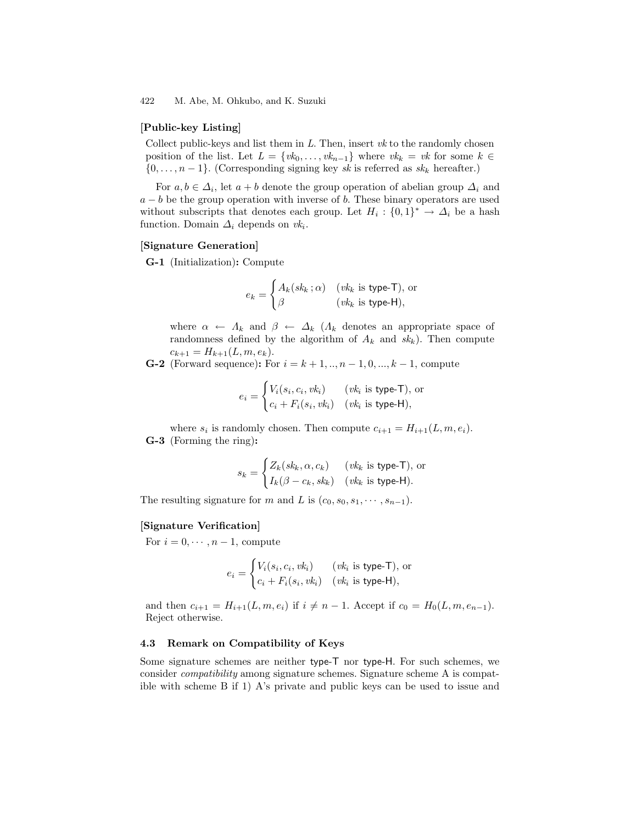#### [Public-key Listing]

Collect public-keys and list them in  $L$ . Then, insert  $vk$  to the randomly chosen position of the list. Let  $L = \{vk_0, \ldots, vk_{n-1}\}\$  where  $vk_k = vk$  for some  $k \in$  $\{0, \ldots, n-1\}$ . (Corresponding signing key sk is referred as sk<sub>k</sub> hereafter.)

For  $a, b \in \Delta_i$ , let  $a + b$  denote the group operation of abelian group  $\Delta_i$  and  $a - b$  be the group operation with inverse of b. These binary operators are used without subscripts that denotes each group. Let  $H_i: \{0,1\}^* \to \Delta_i$  be a hash function. Domain  $\Delta_i$  depends on  $vk_i$ .

#### [Signature Generation]

G-1 (Initialization): Compute

$$
e_k = \begin{cases} A_k(sk_k : \alpha) & (vk_k \text{ is type-T}), \text{ or} \\ \beta & (vk_k \text{ is type-H}), \end{cases}
$$

where  $\alpha \leftarrow \Lambda_k$  and  $\beta \leftarrow \Delta_k$  ( $\Lambda_k$  denotes an appropriate space of randomness defined by the algorithm of  $A_k$  and  $sk_k$ ). Then compute  $c_{k+1} = H_{k+1}(L, m, e_k).$ 

**G-2** (Forward sequence): For  $i = k + 1, ..., n - 1, 0, ..., k - 1$ , compute

$$
e_i = \begin{cases} V_i(s_i, c_i, v k_i) & (v k_i \text{ is type-T}), \text{ or} \\ c_i + F_i(s_i, v k_i) & (v k_i \text{ is type-H}), \end{cases}
$$

where  $s_i$  is randomly chosen. Then compute  $c_{i+1} = H_{i+1}(L, m, e_i)$ . G-3 (Forming the ring):

$$
s_k = \begin{cases} Z_k(sk_k, \alpha, c_k) & (vk_k \text{ is type-T}), \text{ or} \\ I_k(\beta - c_k, sk_k) & (vk_k \text{ is type-H}). \end{cases}
$$

The resulting signature for m and L is  $(c_0, s_0, s_1, \dots, s_{n-1})$ .

#### [Signature Verification]

For  $i = 0, \dots, n-1$ , compute

$$
e_i = \begin{cases} V_i(s_i, c_i, v k_i) & (v k_i \text{ is type-T}), \text{ or} \\ c_i + F_i(s_i, v k_i) & (v k_i \text{ is type-H}), \end{cases}
$$

and then  $c_{i+1} = H_{i+1}(L, m, e_i)$  if  $i \neq n-1$ . Accept if  $c_0 = H_0(L, m, e_{n-1})$ . Reject otherwise.

### 4.3 Remark on Compatibility of Keys

Some signature schemes are neither type-T nor type-H. For such schemes, we consider compatibility among signature schemes. Signature scheme A is compatible with scheme B if 1) A's private and public keys can be used to issue and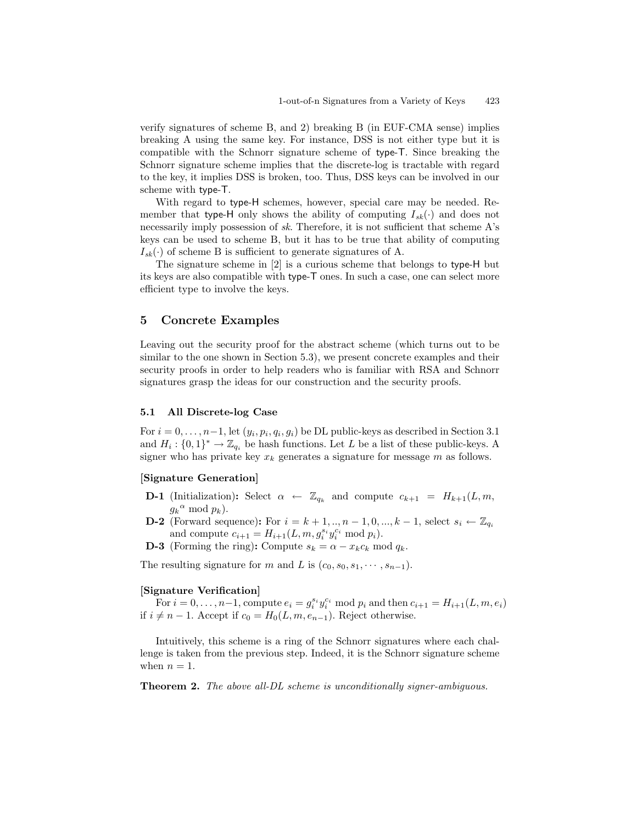verify signatures of scheme B, and 2) breaking B (in EUF-CMA sense) implies breaking A using the same key. For instance, DSS is not either type but it is compatible with the Schnorr signature scheme of type-T. Since breaking the Schnorr signature scheme implies that the discrete-log is tractable with regard to the key, it implies DSS is broken, too. Thus, DSS keys can be involved in our scheme with type-T.

With regard to type-H schemes, however, special care may be needed. Remember that type-H only shows the ability of computing  $I_{sk}(\cdot)$  and does not necessarily imply possession of sk. Therefore, it is not sufficient that scheme A's keys can be used to scheme B, but it has to be true that ability of computing  $I_{sk}(\cdot)$  of scheme B is sufficient to generate signatures of A.

The signature scheme in [2] is a curious scheme that belongs to type-H but its keys are also compatible with type-T ones. In such a case, one can select more efficient type to involve the keys.

### 5 Concrete Examples

Leaving out the security proof for the abstract scheme (which turns out to be similar to the one shown in Section 5.3), we present concrete examples and their security proofs in order to help readers who is familiar with RSA and Schnorr signatures grasp the ideas for our construction and the security proofs.

### 5.1 All Discrete-log Case

For  $i = 0, \ldots, n-1$ , let  $(y_i, p_i, q_i, g_i)$  be DL public-keys as described in Section 3.1 and  $H_i: \{0,1\}^* \to \mathbb{Z}_{q_i}$  be hash functions. Let L be a list of these public-keys. A signer who has private key  $x_k$  generates a signature for message  $m$  as follows.

#### [Signature Generation]

- **D-1** (Initialization): Select  $\alpha \leftarrow \mathbb{Z}_{q_k}$  and compute  $c_{k+1} = H_{k+1}(L, m,$  $g_k^{\alpha} \bmod p_k$ ).
- **D-2** (Forward sequence): For  $i = k + 1, ..., n 1, 0, ..., k 1$ , select  $s_i \leftarrow \mathbb{Z}_q$ and compute  $c_{i+1} = H_{i+1}(L, m, g_i^{s_i} y_i^{c_i} \mod p_i)$ .
- **D-3** (Forming the ring): Compute  $s_k = \alpha x_k c_k \text{ mod } q_k$ .

The resulting signature for m and L is  $(c_0, s_0, s_1, \dots, s_{n-1})$ .

#### [Signature Verification]

For  $i = 0, \ldots, n-1$ , compute  $e_i = g_i^{s_i} y_i^{c_i} \mod p_i$  and then  $c_{i+1} = H_{i+1}(L, m, e_i)$ if  $i \neq n - 1$ . Accept if  $c_0 = H_0(L, m, e_{n-1})$ . Reject otherwise.

Intuitively, this scheme is a ring of the Schnorr signatures where each challenge is taken from the previous step. Indeed, it is the Schnorr signature scheme when  $n = 1$ .

Theorem 2. The above all-DL scheme is unconditionally signer-ambiguous.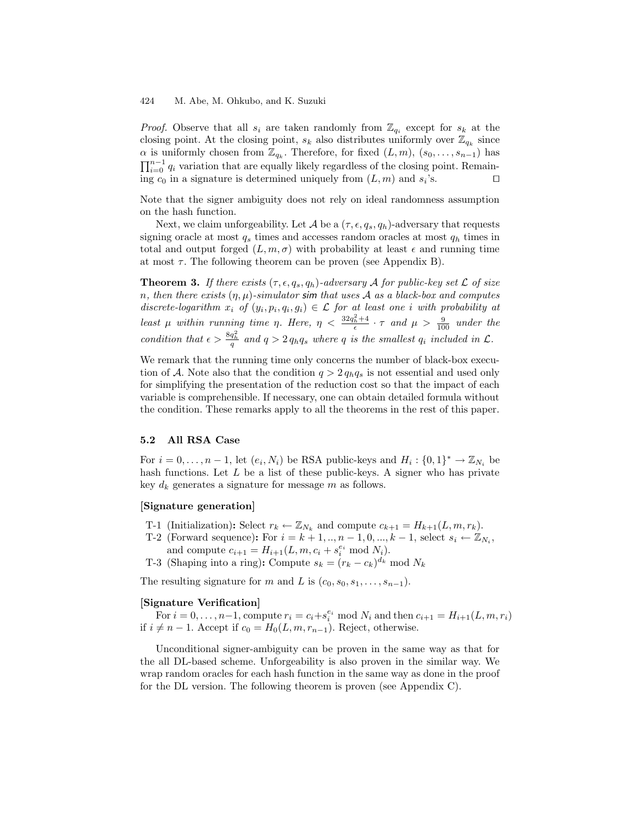*Proof.* Observe that all  $s_i$  are taken randomly from  $\mathbb{Z}_{q_i}$  except for  $s_k$  at the closing point. At the closing point,  $s_k$  also distributes uniformly over  $\mathbb{Z}_{q_k}$  since  $\alpha$  is uniformly chosen from  $\mathbb{Z}_{q_k}$ . Therefore, for fixed  $(L, m)$ ,  $(s_0, \ldots, s_{n-1})$  has  $\prod_{i=0}^{n-1} q_i$  variation that are equally likely regardless of the closing point. Remaining  $c_0$  in a signature is determined uniquely from  $(L, m)$  and  $s_i$ 's.

Note that the signer ambiguity does not rely on ideal randomness assumption on the hash function.

Next, we claim unforgeability. Let A be a  $(\tau, \epsilon, q_s, q_h)$ -adversary that requests signing oracle at most  $q_s$  times and accesses random oracles at most  $q_h$  times in total and output forged  $(L, m, \sigma)$  with probability at least  $\epsilon$  and running time at most  $\tau$ . The following theorem can be proven (see Appendix B).

**Theorem 3.** If there exists  $(\tau, \epsilon, q_s, q_h)$ -adversary A for public-key set  $\mathcal L$  of size n, then there exists  $(\eta, \mu)$ -simulator sim that uses A as a black-box and computes discrete-logarithm  $x_i$  of  $(y_i, p_i, q_i, q_i) \in \mathcal{L}$  for at least one i with probability at least  $\mu$  within running time  $\eta$ . Here,  $\eta < \frac{32q_h^2+4}{\epsilon} \cdot \tau$  and  $\mu > \frac{9}{100}$  under the condition that  $\epsilon > \frac{8q_h^2}{q}$  and  $q > 2 q_h q_s$  where q is the smallest  $q_i$  included in  $\mathcal{L}$ .

We remark that the running time only concerns the number of black-box execution of A. Note also that the condition  $q > 2 q_h q_s$  is not essential and used only for simplifying the presentation of the reduction cost so that the impact of each variable is comprehensible. If necessary, one can obtain detailed formula without the condition. These remarks apply to all the theorems in the rest of this paper.

#### 5.2 All RSA Case

For  $i = 0, \ldots, n-1$ , let  $(e_i, N_i)$  be RSA public-keys and  $H_i: \{0, 1\}^* \to \mathbb{Z}_{N_i}$  be hash functions. Let  $L$  be a list of these public-keys. A signer who has private key  $d_k$  generates a signature for message m as follows.

#### [Signature generation]

- T-1 (Initialization): Select  $r_k \leftarrow \mathbb{Z}_{N_k}$  and compute  $c_{k+1} = H_{k+1}(L, m, r_k)$ .
- T-2 (Forward sequence): For  $i = k + 1, ..., n 1, 0, ..., k 1$ , select  $s_i \leftarrow \mathbb{Z}_{N_i}$ , and compute  $c_{i+1} = H_{i+1}(L, m, c_i + s_i^{e_i} \text{ mod } N_i)$ .
- T-3 (Shaping into a ring): Compute  $s_k = (r_k c_k)^{d_k} \text{ mod } N_k$

The resulting signature for m and L is  $(c_0, s_0, s_1, \ldots, s_{n-1})$ .

#### [Signature Verification]

For  $i = 0, \ldots, n-1$ , compute  $r_i = c_i + s_i^{e_i} \mod N_i$  and then  $c_{i+1} = H_{i+1}(L, m, r_i)$ if  $i \neq n - 1$ . Accept if  $c_0 = H_0(L, m, r_{n-1})$ . Reject, otherwise.

Unconditional signer-ambiguity can be proven in the same way as that for the all DL-based scheme. Unforgeability is also proven in the similar way. We wrap random oracles for each hash function in the same way as done in the proof for the DL version. The following theorem is proven (see Appendix C).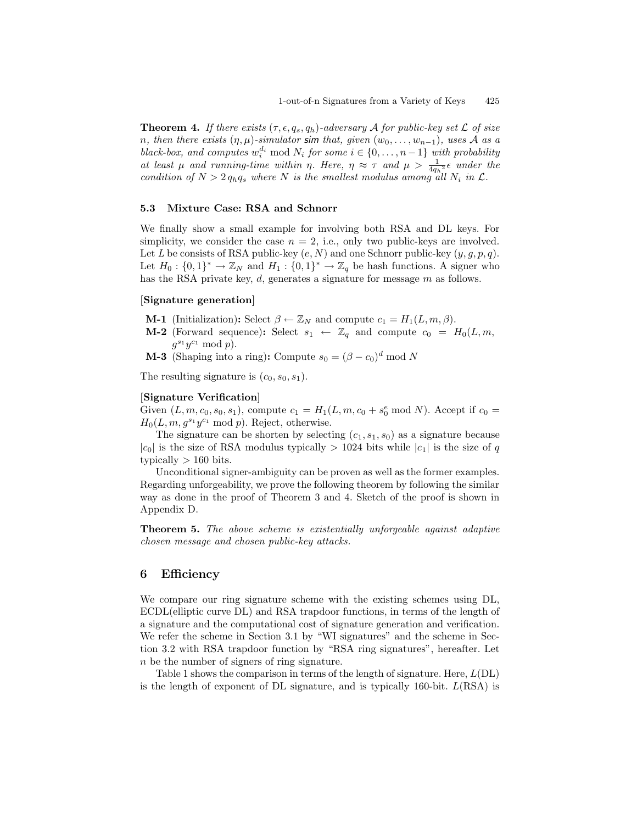**Theorem 4.** If there exists  $(\tau, \epsilon, q_s, q_h)$ -adversary A for public-key set L of size n, then there exists  $(\eta, \mu)$ -simulator sim that, given  $(w_0, \ldots, w_{n-1})$ , uses A as a black-box, and computes  $w_i^{d_i} \mod N_i$  for some  $i \in \{0, \ldots, n-1\}$  with probability at least  $\mu$  and running-time within  $\eta$ . Here,  $\eta \approx \tau$  and  $\mu > \frac{1}{4q_h^2 \epsilon}$  under the condition of  $N > 2 q_h q_s$  where N is the smallest modulus among all  $N_i$  in  $\mathcal{L}$ .

#### 5.3 Mixture Case: RSA and Schnorr

We finally show a small example for involving both RSA and DL keys. For simplicity, we consider the case  $n = 2$ , i.e., only two public-keys are involved. Let L be consists of RSA public-key  $(e, N)$  and one Schnorr public-key  $(y, q, p, q)$ . Let  $H_0: \{0,1\}^* \to \mathbb{Z}_N$  and  $H_1: \{0,1\}^* \to \mathbb{Z}_q$  be hash functions. A signer who has the RSA private key,  $d$ , generates a signature for message  $m$  as follows.

#### [Signature generation]

- **M-1** (Initialization): Select  $\beta \leftarrow \mathbb{Z}_N$  and compute  $c_1 = H_1(L, m, \beta)$ .
- **M-2** (Forward sequence): Select  $s_1 \leftarrow \mathbb{Z}_q$  and compute  $c_0 = H_0(L, m, m)$  $g^{s_1}y^{c_1} \bmod p$ .
- **M-3** (Shaping into a ring): Compute  $s_0 = (\beta c_0)^d \mod N$

The resulting signature is  $(c_0, s_0, s_1)$ .

#### [Signature Verification]

Given  $(L, m, c_0, s_0, s_1)$ , compute  $c_1 = H_1(L, m, c_0 + s_0^e \mod N)$ . Accept if  $c_0 =$  $H_0(L, m, g^{s_1}y^{c_1} \text{ mod } p)$ . Reject, otherwise.

The signature can be shorten by selecting  $(c_1, s_1, s_0)$  as a signature because  $|c_0|$  is the size of RSA modulus typically  $> 1024$  bits while  $|c_1|$  is the size of q typically  $> 160$  bits.

Unconditional signer-ambiguity can be proven as well as the former examples. Regarding unforgeability, we prove the following theorem by following the similar way as done in the proof of Theorem 3 and 4. Sketch of the proof is shown in Appendix D.

Theorem 5. The above scheme is existentially unforgeable against adaptive chosen message and chosen public-key attacks.

#### 6 Efficiency

We compare our ring signature scheme with the existing schemes using DL, ECDL(elliptic curve DL) and RSA trapdoor functions, in terms of the length of a signature and the computational cost of signature generation and verification. We refer the scheme in Section 3.1 by "WI signatures" and the scheme in Section 3.2 with RSA trapdoor function by "RSA ring signatures", hereafter. Let n be the number of signers of ring signature.

Table 1 shows the comparison in terms of the length of signature. Here,  $L(DL)$ is the length of exponent of DL signature, and is typically 160-bit.  $L(RSA)$  is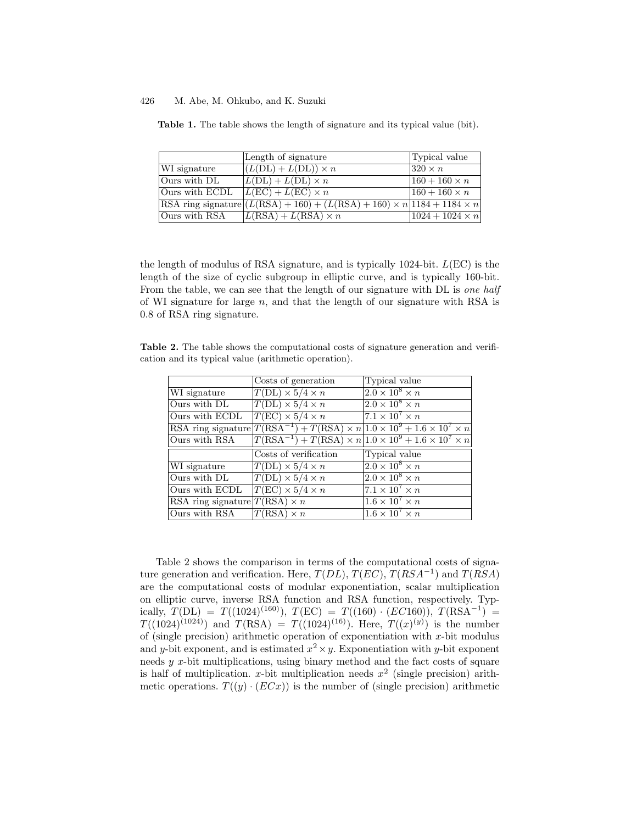Table 1. The table shows the length of signature and its typical value (bit).

|                | Length of signature                                                                 | Typical value        |
|----------------|-------------------------------------------------------------------------------------|----------------------|
| WI signature   | $(L(DL) + L(DL)) \times n$                                                          | $320 \times n$       |
| Ours with DL   | $L(DL) + L(DL) \times n$                                                            | $160 + 160 \times n$ |
| Ours with ECDL | $L(EC) + L(EC) \times n$                                                            | $160 + 160 \times n$ |
|                | RSA ring signature $(L(RSA) + 160) + (L(RSA) + 160) \times n(1184 + 1184 \times n)$ |                      |
| Ours with RSA  | $L(RSA) + L(RSA) \times n$                                                          | $1024+1024 \times n$ |

the length of modulus of RSA signature, and is typically 1024-bit.  $L(EC)$  is the length of the size of cyclic subgroup in elliptic curve, and is typically 160-bit. From the table, we can see that the length of our signature with DL is one half of WI signature for large  $n$ , and that the length of our signature with RSA is 0.8 of RSA ring signature.

Table 2. The table shows the computational costs of signature generation and verification and its typical value (arithmetic operation).

|                                      | Costs of generation                                                                            | Typical value              |
|--------------------------------------|------------------------------------------------------------------------------------------------|----------------------------|
| WI signature                         | $T(DL) \times 5/4 \times n$                                                                    | $2.0 \times 10^8 \times n$ |
| Ours with DL                         | $T(DL) \times 5/4 \times n$                                                                    | $2.0 \times 10^8 \times n$ |
| Ours with ECDL                       | $T(EC) \times 5/4 \times n$                                                                    | $7.1 \times 10^7 \times n$ |
|                                      | RSA ring signature $T(RSA^{-1}) + T(RSA) \times n(1.0 \times 10^9 + 1.6 \times 10^7 \times n)$ |                            |
| Ours with RSA                        | $T(\text{RSA}^{-1}) + T(\text{RSA}) \times n 1.0 \times 10^{9} + 1.6 \times 10^{7} \times n$   |                            |
|                                      |                                                                                                |                            |
|                                      | Costs of verification                                                                          | Typical value              |
| WI signature                         | $T(DL) \times 5/4 \times n$                                                                    | $2.0 \times 10^8 \times n$ |
| Ours with DL                         | $T(DL) \times 5/4 \times n$                                                                    | $2.0 \times 10^8 \times n$ |
| Ours with ECDL                       | $T(EC) \times 5/4 \times n$                                                                    | $7.1 \times 10^7 \times n$ |
| RSA ring signature $T(RSA) \times n$ |                                                                                                | $1.6 \times 10^7 \times n$ |

Table 2 shows the comparison in terms of the computational costs of signature generation and verification. Here,  $T(DL)$ ,  $T(EC)$ ,  $T(RSA^{-1})$  and  $T(RSA)$ are the computational costs of modular exponentiation, scalar multiplication on elliptic curve, inverse RSA function and RSA function, respectively. Typically,  $T(DL) = T((1024)^{(160)})$ ,  $T(EC) = T((160) \cdot (EC160))$ ,  $T(RSA^{-1}) =$  $T((1024)^{(1024)})$  and  $T(RSA) = T((1024)^{(16)})$ . Here,  $T((x)^{(y)})$  is the number of (single precision) arithmetic operation of exponentiation with  $x$ -bit modulus and y-bit exponent, and is estimated  $x^2 \times y$ . Exponentiation with y-bit exponent needs y x-bit multiplications, using binary method and the fact costs of square is half of multiplication. x-bit multiplication needs  $x^2$  (single precision) arithmetic operations.  $T((y) \cdot (ECx))$  is the number of (single precision) arithmetic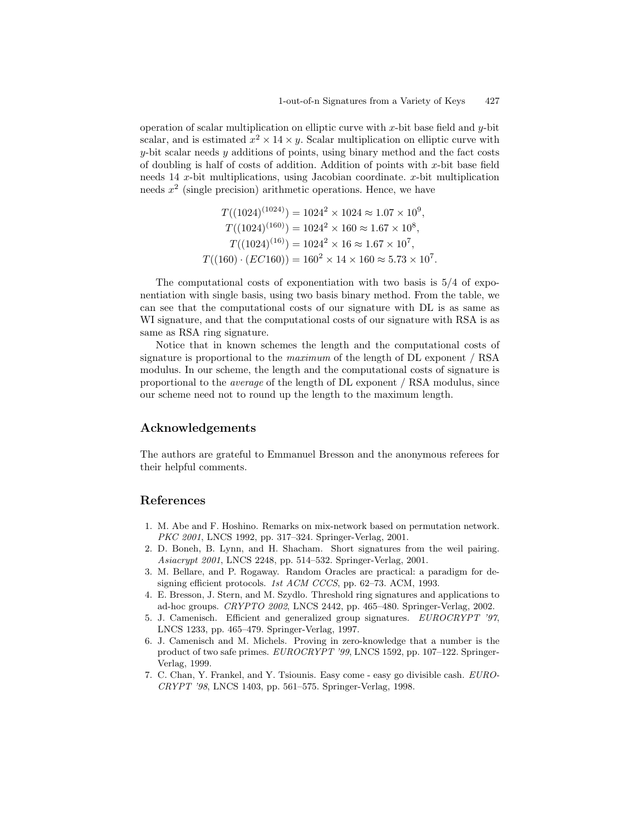operation of scalar multiplication on elliptic curve with  $x$ -bit base field and  $y$ -bit scalar, and is estimated  $x^2 \times 14 \times y$ . Scalar multiplication on elliptic curve with  $y$ -bit scalar needs  $y$  additions of points, using binary method and the fact costs of doubling is half of costs of addition. Addition of points with  $x$ -bit base field needs 14 x-bit multiplications, using Jacobian coordinate. x-bit multiplication needs  $x^2$  (single precision) arithmetic operations. Hence, we have

$$
T((1024)^{(1024)}) = 1024^2 \times 1024 \approx 1.07 \times 10^9,
$$
  
\n
$$
T((1024)^{(160)}) = 1024^2 \times 160 \approx 1.67 \times 10^8,
$$
  
\n
$$
T((1024)^{(16)}) = 1024^2 \times 16 \approx 1.67 \times 10^7,
$$
  
\n
$$
T((160) \cdot (EC160)) = 160^2 \times 14 \times 160 \approx 5.73 \times 10^7.
$$

The computational costs of exponentiation with two basis is 5/4 of exponentiation with single basis, using two basis binary method. From the table, we can see that the computational costs of our signature with DL is as same as WI signature, and that the computational costs of our signature with RSA is as same as RSA ring signature.

Notice that in known schemes the length and the computational costs of signature is proportional to the *maximum* of the length of  $DL$  exponent / RSA modulus. In our scheme, the length and the computational costs of signature is proportional to the average of the length of DL exponent / RSA modulus, since our scheme need not to round up the length to the maximum length.

### Acknowledgements

The authors are grateful to Emmanuel Bresson and the anonymous referees for their helpful comments.

### References

- 1. M. Abe and F. Hoshino. Remarks on mix-network based on permutation network. PKC 2001, LNCS 1992, pp. 317–324. Springer-Verlag, 2001.
- 2. D. Boneh, B. Lynn, and H. Shacham. Short signatures from the weil pairing. Asiacrypt 2001, LNCS 2248, pp. 514–532. Springer-Verlag, 2001.
- 3. M. Bellare, and P. Rogaway. Random Oracles are practical: a paradigm for designing efficient protocols. 1st ACM CCCS, pp. 62–73. ACM, 1993.
- 4. E. Bresson, J. Stern, and M. Szydlo. Threshold ring signatures and applications to ad-hoc groups. CRYPTO 2002, LNCS 2442, pp. 465–480. Springer-Verlag, 2002.
- 5. J. Camenisch. Efficient and generalized group signatures. EUROCRYPT '97, LNCS 1233, pp. 465–479. Springer-Verlag, 1997.
- 6. J. Camenisch and M. Michels. Proving in zero-knowledge that a number is the product of two safe primes. EUROCRYPT '99, LNCS 1592, pp. 107–122. Springer-Verlag, 1999.
- 7. C. Chan, Y. Frankel, and Y. Tsiounis. Easy come easy go divisible cash. EURO-CRYPT '98, LNCS 1403, pp. 561–575. Springer-Verlag, 1998.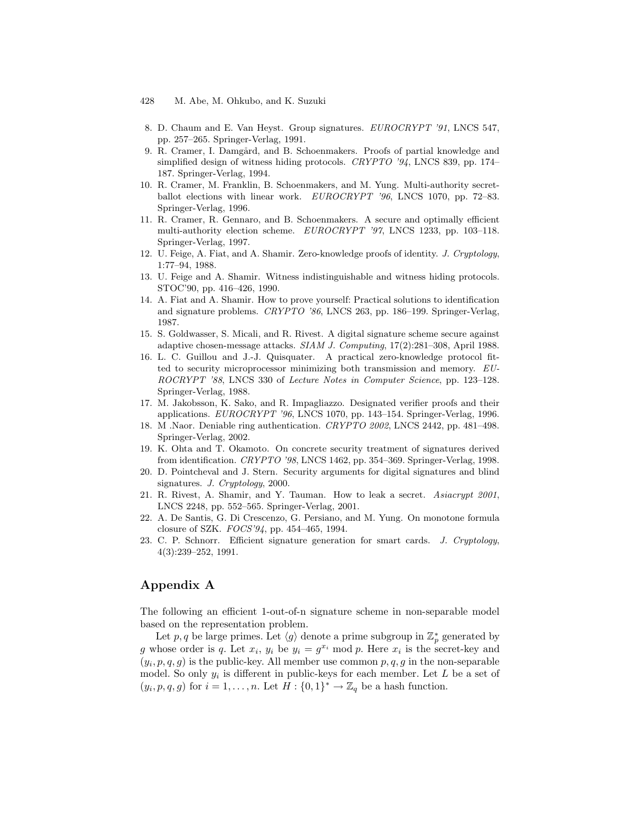- 8. D. Chaum and E. Van Heyst. Group signatures. EUROCRYPT '91, LNCS 547, pp. 257–265. Springer-Verlag, 1991.
- 9. R. Cramer, I. Damgård, and B. Schoenmakers. Proofs of partial knowledge and simplified design of witness hiding protocols. CRYPTO '94, LNCS 839, pp. 174– 187. Springer-Verlag, 1994.
- 10. R. Cramer, M. Franklin, B. Schoenmakers, and M. Yung. Multi-authority secretballot elections with linear work. EUROCRYPT '96, LNCS 1070, pp. 72–83. Springer-Verlag, 1996.
- 11. R. Cramer, R. Gennaro, and B. Schoenmakers. A secure and optimally efficient multi-authority election scheme. EUROCRYPT '97, LNCS 1233, pp. 103–118. Springer-Verlag, 1997.
- 12. U. Feige, A. Fiat, and A. Shamir. Zero-knowledge proofs of identity. J. Cryptology, 1:77–94, 1988.
- 13. U. Feige and A. Shamir. Witness indistinguishable and witness hiding protocols. STOC'90, pp. 416–426, 1990.
- 14. A. Fiat and A. Shamir. How to prove yourself: Practical solutions to identification and signature problems. CRYPTO '86, LNCS 263, pp. 186–199. Springer-Verlag, 1987.
- 15. S. Goldwasser, S. Micali, and R. Rivest. A digital signature scheme secure against adaptive chosen-message attacks. SIAM J. Computing, 17(2):281–308, April 1988.
- 16. L. C. Guillou and J.-J. Quisquater. A practical zero-knowledge protocol fitted to security microprocessor minimizing both transmission and memory. EU-ROCRYPT '88, LNCS 330 of Lecture Notes in Computer Science, pp. 123–128. Springer-Verlag, 1988.
- 17. M. Jakobsson, K. Sako, and R. Impagliazzo. Designated verifier proofs and their applications. EUROCRYPT '96, LNCS 1070, pp. 143–154. Springer-Verlag, 1996.
- 18. M .Naor. Deniable ring authentication. CRYPTO 2002, LNCS 2442, pp. 481–498. Springer-Verlag, 2002.
- 19. K. Ohta and T. Okamoto. On concrete security treatment of signatures derived from identification. CRYPTO '98, LNCS 1462, pp. 354–369. Springer-Verlag, 1998.
- 20. D. Pointcheval and J. Stern. Security arguments for digital signatures and blind signatures. J. Cryptology, 2000.
- 21. R. Rivest, A. Shamir, and Y. Tauman. How to leak a secret. Asiacrypt 2001, LNCS 2248, pp. 552–565. Springer-Verlag, 2001.
- 22. A. De Santis, G. Di Crescenzo, G. Persiano, and M. Yung. On monotone formula closure of SZK. FOCS'94, pp. 454–465, 1994.
- 23. C. P. Schnorr. Efficient signature generation for smart cards. J. Cryptology, 4(3):239–252, 1991.

# Appendix A

The following an efficient 1-out-of-n signature scheme in non-separable model based on the representation problem.

Let  $p, q$  be large primes. Let  $\langle g \rangle$  denote a prime subgroup in  $\mathbb{Z}_p^*$  generated by g whose order is q. Let  $x_i$ ,  $y_i$  be  $y_i = g^{x_i} \mod p$ . Here  $x_i$  is the secret-key and  $(y_i, p, q, g)$  is the public-key. All member use common  $p, q, g$  in the non-separable model. So only  $y_i$  is different in public-keys for each member. Let L be a set of  $(y_i, p, q, g)$  for  $i = 1, \ldots, n$ . Let  $H : \{0, 1\}^* \to \mathbb{Z}_q$  be a hash function.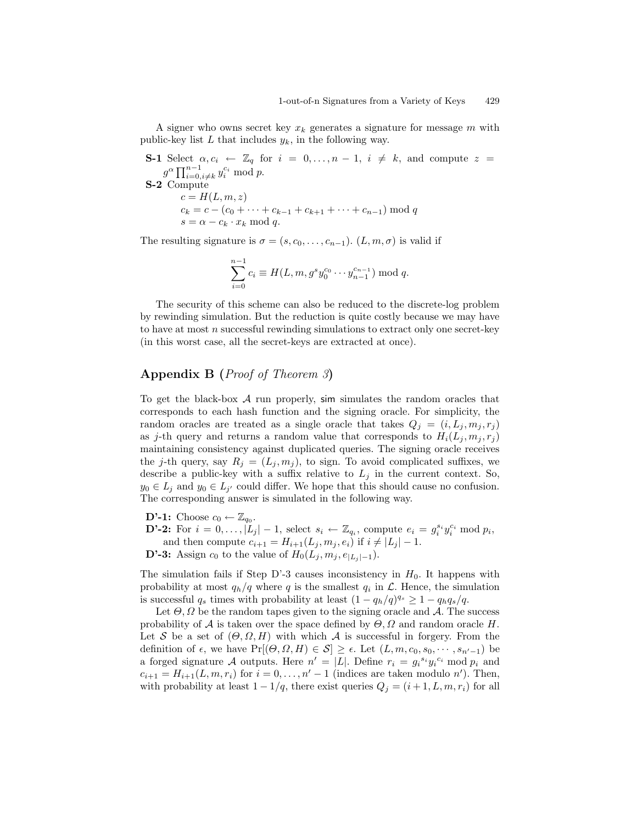A signer who owns secret key  $x_k$  generates a signature for message m with public-key list  $L$  that includes  $y_k$ , in the following way.

S-1 Select  $\alpha, c_i \leftarrow \mathbb{Z}_q$  for  $i = 0, \ldots, n-1, i \neq k$ , and compute  $z =$  $g^{\alpha} \prod_{i=0, i \neq k}^{n-1} y_i^{c_i} \mod p.$ S-2 Compute  $c = H(L, m, z)$  $c_k = c - (c_0 + \cdots + c_{k-1} + c_{k+1} + \cdots + c_{n-1}) \bmod q$  $s = \alpha - c_k \cdot x_k \mod q.$ 

The resulting signature is  $\sigma = (s, c_0, \ldots, c_{n-1})$ .  $(L, m, \sigma)$  is valid if

$$
\sum_{i=0}^{n-1} c_i \equiv H(L, m, g^s y_0^{c_0} \cdots y_{n-1}^{c_{n-1}}) \bmod q.
$$

The security of this scheme can also be reduced to the discrete-log problem by rewinding simulation. But the reduction is quite costly because we may have to have at most  $n$  successful rewinding simulations to extract only one secret-key (in this worst case, all the secret-keys are extracted at once).

# Appendix B (Proof of Theorem 3)

To get the black-box  $A$  run properly, sim simulates the random oracles that corresponds to each hash function and the signing oracle. For simplicity, the random oracles are treated as a single oracle that takes  $Q_i = (i, L_i, m_i, r_i)$ as j-th query and returns a random value that corresponds to  $H_i(L_i, m_i, r_i)$ maintaining consistency against duplicated queries. The signing oracle receives the j-th query, say  $R_j = (L_j, m_j)$ , to sign. To avoid complicated suffixes, we describe a public-key with a suffix relative to  $L_j$  in the current context. So,  $y_0 \in L_j$  and  $y_0 \in L_{j'}$  could differ. We hope that this should cause no confusion. The corresponding answer is simulated in the following way.

**D'-1:** Choose  $c_0 \leftarrow \mathbb{Z}_{q_0}$ .

**D'-2:** For  $i = 0, ..., |\tilde{L}_j| - 1$ , select  $s_i \leftarrow \mathbb{Z}_{q_i}$ , compute  $e_i = g_i^{s_i} y_i^{c_i} \mod p_i$ , and then compute  $c_{i+1} = H_{i+1}(L_j, m_j, e_i)$  if  $i \neq |L_j| - 1$ .

D'-3: Assign  $c_0$  to the value of  $H_0(L_j, m_j, e_{|L_i|-1})$ .

The simulation fails if Step D'-3 causes inconsistency in  $H_0$ . It happens with probability at most  $q_h/q$  where q is the smallest  $q_i$  in  $\mathcal{L}$ . Hence, the simulation is successful  $q_s$  times with probability at least  $(1 - q_h/q)^{q_s} \geq 1 - q_h q_s/q$ .

Let  $\Theta$ ,  $\Omega$  be the random tapes given to the signing oracle and  $\mathcal{A}$ . The success probability of  $A$  is taken over the space defined by  $\Theta$ ,  $\Omega$  and random oracle H. Let S be a set of  $(\Theta, \Omega, H)$  with which A is successful in forgery. From the definition of  $\epsilon$ , we have Pr $[(\Theta, \Omega, H) \in \mathcal{S}] \geq \epsilon$ . Let  $(L, m, c_0, s_0, \dots, s_{n'-1})$  be a forged signature A outputs. Here  $n' = |L|$ . Define  $r_i = g_i^{s_i} y_i^{c_i} \mod p_i$  and  $c_{i+1} = H_{i+1}(L, m, r_i)$  for  $i = 0, \ldots, n' - 1$  (indices are taken modulo n'). Then, with probability at least  $1 - 1/q$ , there exist queries  $Q_j = (i + 1, L, m, r_i)$  for all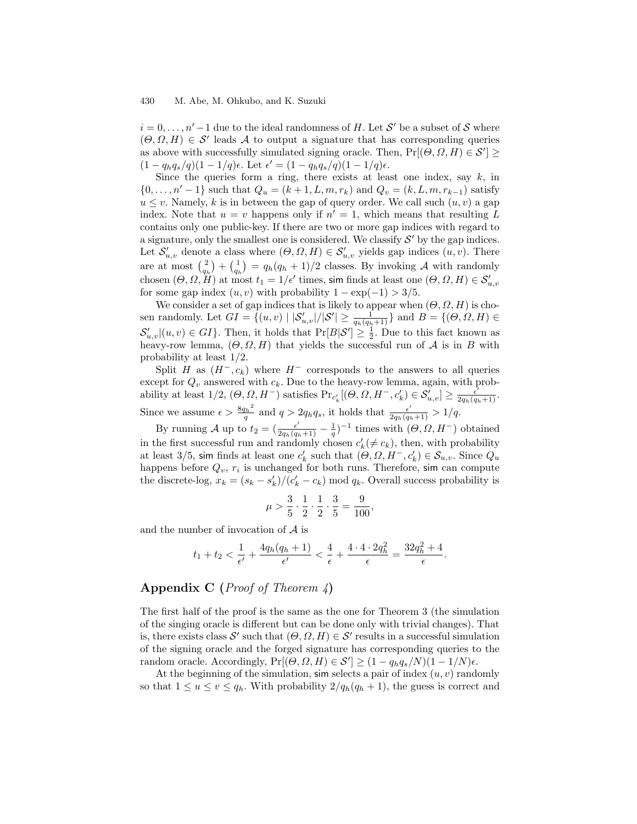$i = 0, \ldots, n' - 1$  due to the ideal randomness of H. Let  $\mathcal{S}'$  be a subset of  $\mathcal{S}$  where  $(\Theta, \Omega, H) \in \mathcal{S}'$  leads A to output a signature that has corresponding queries as above with successfully simulated signing oracle. Then,  $Pr[(\Theta, \Omega, H) \in \mathcal{S}'] \geq$  $(1 - q_h q_s/q)(1 - 1/q)\epsilon$ . Let  $\epsilon' = (1 - q_h q_s/q)(1 - 1/q)\epsilon$ .

Since the queries form a ring, there exists at least one index, say  $k$ , in  $\{0, \ldots, n'-1\}$  such that  $Q_u = (k+1, L, m, r_k)$  and  $Q_v = (k, L, m, r_{k-1})$  satisfy  $u \leq v$ . Namely, k is in between the gap of query order. We call such  $(u, v)$  a gap index. Note that  $u = v$  happens only if  $n' = 1$ , which means that resulting L contains only one public-key. If there are two or more gap indices with regard to a signature, only the smallest one is considered. We classify  $S'$  by the gap indices. Let  $\mathcal{S}'_{u,v}$  denote a class where  $(\Theta, \Omega, H) \in \mathcal{S}'_{u,v}$  yields gap indices  $(u, v)$ . There are at most  $\binom{2}{q_h} + \binom{1}{q_h} = q_h(q_h + 1)/2$  classes. By invoking A with randomly chosen  $(\Theta, \Omega, \tilde{H})$  at most  $t_1 = 1/\epsilon'$  times, sim finds at least one  $(\Theta, \Omega, H) \in \mathcal{S}'_{u,v}$ for some gap index  $(u, v)$  with probability  $1 - \exp(-1) > 3/5$ .

We consider a set of gap indices that is likely to appear when  $(\Theta, \Omega, H)$  is chosen randomly. Let  $GI = \{(u, v) | |S'_{u,v}|/|S'| \geq \frac{1}{q_h(q_h+1)}\}$  and  $B = \{(\Theta, \Omega, H) \in$  $\mathcal{S}'_{u,v} | (u, v) \in GI$ . Then, it holds that  $\Pr[B|\mathcal{S}'] \geq \frac{1}{2}$ . Due to this fact known as heavy-row lemma,  $(\Theta, \Omega, H)$  that yields the successful run of A is in B with probability at least 1/2.

Split H as  $(H^-, c_k)$  where  $H^-$  corresponds to the answers to all queries except for  $Q_v$  answered with  $c_k$ . Due to the heavy-row lemma, again, with probability at least  $1/2$ ,  $(\Theta, \Omega, H^{-})$  satisfies  $Pr_{c'_{k}}[(\Theta, \Omega, H^{-}, c'_{k}) \in \mathcal{S}'_{u,v}] \geq \frac{\epsilon'}{2q_{h}(q_{h}+1)}$ . Since we assume  $\epsilon > \frac{8q_h^2}{a}$  $\frac{q h^2}{q}$  and  $q > 2q_h q_s$ , it holds that  $\frac{\epsilon'}{2q_h(q_h+1)} > 1/q$ .

By running A up to  $t_2 = (\frac{\epsilon'}{2q_h(q_h+1)} - \frac{1}{q})^{-1}$  times with  $(\Theta, \Omega, H^-)$  obtained in the first successful run and randomly chosen  $c'_{k}(\neq c_{k})$ , then, with probability at least 3/5, sim finds at least one  $c'_k$  such that  $(\Theta, \Omega, H^-, c'_k) \in \mathcal{S}_{u,v}$ . Since  $Q_u$ happens before  $Q_v$ ,  $r_i$  is unchanged for both runs. Therefore, sim can compute the discrete-log,  $x_k = (s_k - s'_k)/(c'_k - c_k) \mod q_k$ . Overall success probability is

$$
\mu > \frac{3}{5} \cdot \frac{1}{2} \cdot \frac{1}{2} \cdot \frac{3}{5} = \frac{9}{100}
$$

,

and the number of invocation of  $\mathcal A$  is

$$
t_1 + t_2 < \frac{1}{\epsilon'} + \frac{4q_h(q_h + 1)}{\epsilon'} < \frac{4}{\epsilon} + \frac{4 \cdot 4 \cdot 2q_h^2}{\epsilon} = \frac{32q_h^2 + 4}{\epsilon}.
$$

## Appendix C (*Proof of Theorem 4*)

The first half of the proof is the same as the one for Theorem 3 (the simulation of the singing oracle is different but can be done only with trivial changes). That is, there exists class S' such that  $(\Theta, \Omega, H) \in \mathcal{S}'$  results in a successful simulation of the signing oracle and the forged signature has corresponding queries to the random oracle. Accordingly,  $Pr[(\Theta, \Omega, H) \in \mathcal{S}'] \ge (1 - q_h q_s/N)(1 - 1/N)\epsilon$ .

At the beginning of the simulation, sim selects a pair of index  $(u, v)$  randomly so that  $1 \le u \le v \le q_h$ . With probability  $2/q_h(q_h+1)$ , the guess is correct and